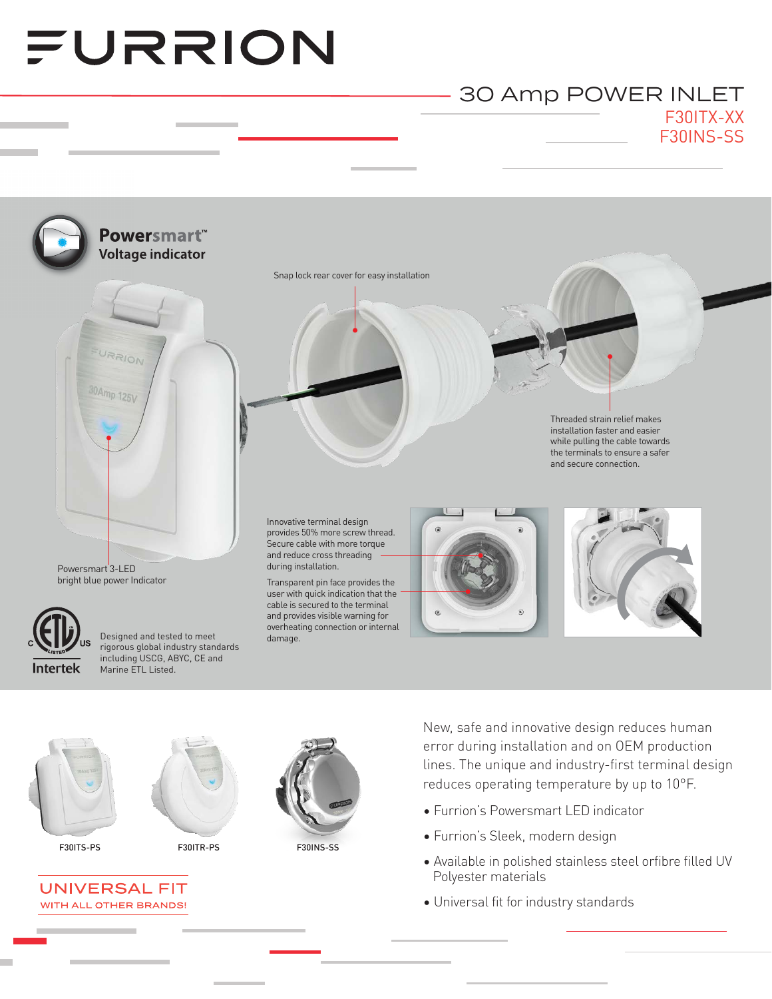# FURRION

## F30ITX-XX F30INS-SS 30 Amp POWER INLET







F30ITS-PS F30ITR-PS F30INS-SS



New, safe and innovative design reduces human error during installation and on OEM production lines. The unique and industry-first terminal design reduces operating temperature by up to 10°F.

- Furrion's Powersmart LED indicator
- Furrion's Sleek, modern design
- Available in polished stainless steel orfibre filled UV Polyester materials
- Universal fit for industry standards

**UNIVERSAL FIT** WITH ALL OTHER BRANDS!